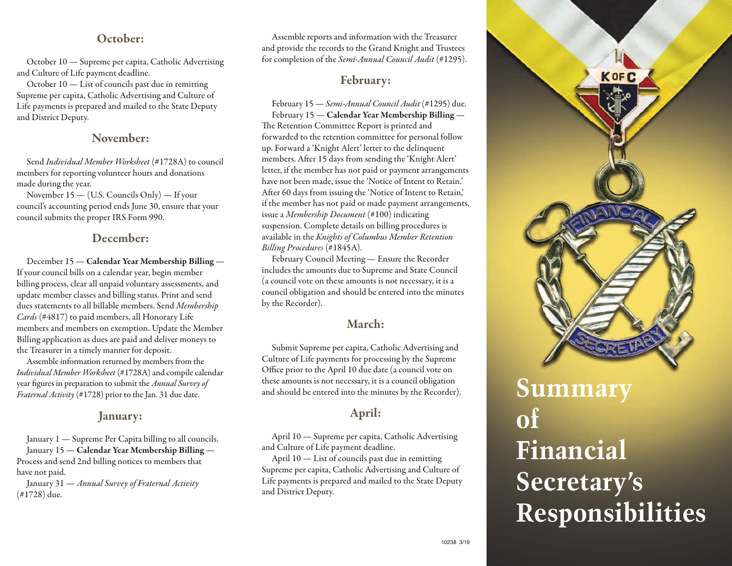## **October:**

October 10 — Supreme percapita, Catholic Advertising and Culture of Life payment deadline.

October  $10$  — List of councils past due in remitting Supreme per capita, Catholic Advertising and Culture of Life payments is prepared and mailed to the State Deputy and District Deputy.

#### **November:**

Send Individual Member Worksheet (#1728A) to council members for reporting volunteer hours and donations made during the year.

November 15 — (U.S. Councils Only) — If your council's accounting period ends June 30, ensure that your council submits the proper IRS Form 990.

## **December:**

December 15 — **Calendar Year Membership Billing** — If your council bills on a calendar year, begin member billing process, clear all unpaid voluntary assessments, and update member classes and billing status. Print and send dues statements to all billable members. Send Membership Cards (#4817) to paid members, all Honorary Life members and members on exemption. Update the Member Billing application as dues are paid and deliver moneys to the Treasurer in a timely manner for deposit.

Assemble information returned by members from the Individual Member Worksheet (#1728A) and compile calendar year figures in preparation to submit the *Annual Survey of Fraternal Activity* (#1728) prior to the Jan. 31 due date.

## **January:**

January 1 — Supreme Per Capita billing to all councils. January 15 — **Calendar Year Membership Billing** — Process and send 2nd billing notices to members that have not paid.

January 31 — Annual Survey of Fraternal Activity (#1728) due.

Assemble reports and information with the Treasurer and provide the records to the Grand Knight and Trustees for completion of the Semi-Annual Council Audit (#1295).

## **February:**

February 15 — Semi-Annual Council Audit (#1295) due. February 15 — **Calendar Year Membership Billing** — The Retention Committee Report is printed and forwarded to the retention committee for personal follow up. Forward a 'Knight Alert' letter to the delinquent members. After 15 days from sending the'Knight Alert' letter, if the member has not paid or payment arrangements have not been made, issue the 'Notice of Intent to Retain.' After 60 days from issuing the'Notice of Intent to Retain,' if the member has not paid or made payment arrangements, issue a Membership Document (#100) indicating suspension. Complete details on billing procedures is available in the Knights of Columbus Member Retention Billing Procedures (#1845A).

February Council Meeting — Ensure the Recorder includes the amounts due to Supreme and State Council (a council vote on these amounts is not necessary, it is a council obligation and should be entered into the minutes by the Recorder).

# **March:**

Submit Supreme percapita, Catholic Advertising and Culture of Life payments for processing by the Supreme Office prior to the April 10 due date(a council vote on these amounts is not necessary, it is a council obligation and should be entered into the minutes by the Recorder).

# **April:**

April 10 — Supreme percapita, Catholic Advertising and Culture of Life payment deadline.

April  $10$  — List of councils past due in remitting Supreme per capita, Catholic Advertising and Culture of Life payments is prepared and mailed to the State Deputy and District Deputy.



# **Summary of Financial Secretary's Responsibilities**